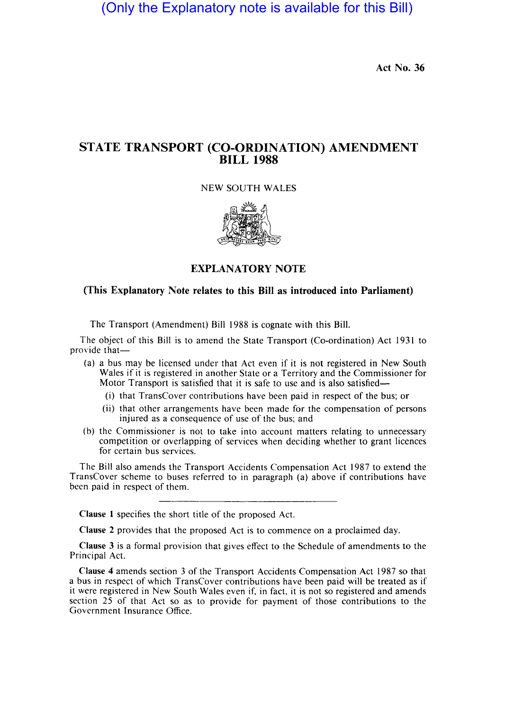(Only the Explanatory note is available for this Bill)

Act No. 36

# STATE TRANSPORT (CO-ORDINATION) AMENDMENT BILL 1988

NEW SOUTH WALES



## EXPLANATORY NOTE

## (This Explanatory Note relates to this Bill as introduced into Parliament)

The Transport (Amendment) Bill 1988 is cognate with this Bill.

The object of this Bill is to amend the State Transport (Co-ordination) Act 1931 to provide that-

- (a) a bus may be licensed under that Act even if it is not registered in New South Wales if it is registered in another State or a Territory and the Commissioner for Motor Transport is satisfied that it is safe to use and is also satisfied—
	- (i) that TransCover contributions have been paid in respect of the bus; or
	- (ii) that other arrangements have been made for the compensation of persons injured as a consequence of use of the bus; and
- (b) the Commissioner is not to take into account matters relating to unnecessary competition or overlapping of services when deciding whether to grant licences for certain bus services.

The Bill also amends the Transport Accidents Compensation Act 1987 to extend the TransCover scheme to buses referred to in paragraph (a) above if contributions have been paid in respect of them.

Clause 1 specifies the short title of the proposed Act.

Clause 2 provides that the proposed Act is to commence on a proclaimed day.

Clause 3 is a formal provision that gives effect to the Schedule of amendments to the Principal Act.

Clause 4 amends section 3 of the Transport Accidents Compensation Act 1987 so that a bus in respect of which TransCover contributions have been paid will be treated as if it were registered in New South Wales even if, in fact, it is not so registered and amends section 25 of that Act so as to provide for payment of those contributions to the Government Insurance Office.